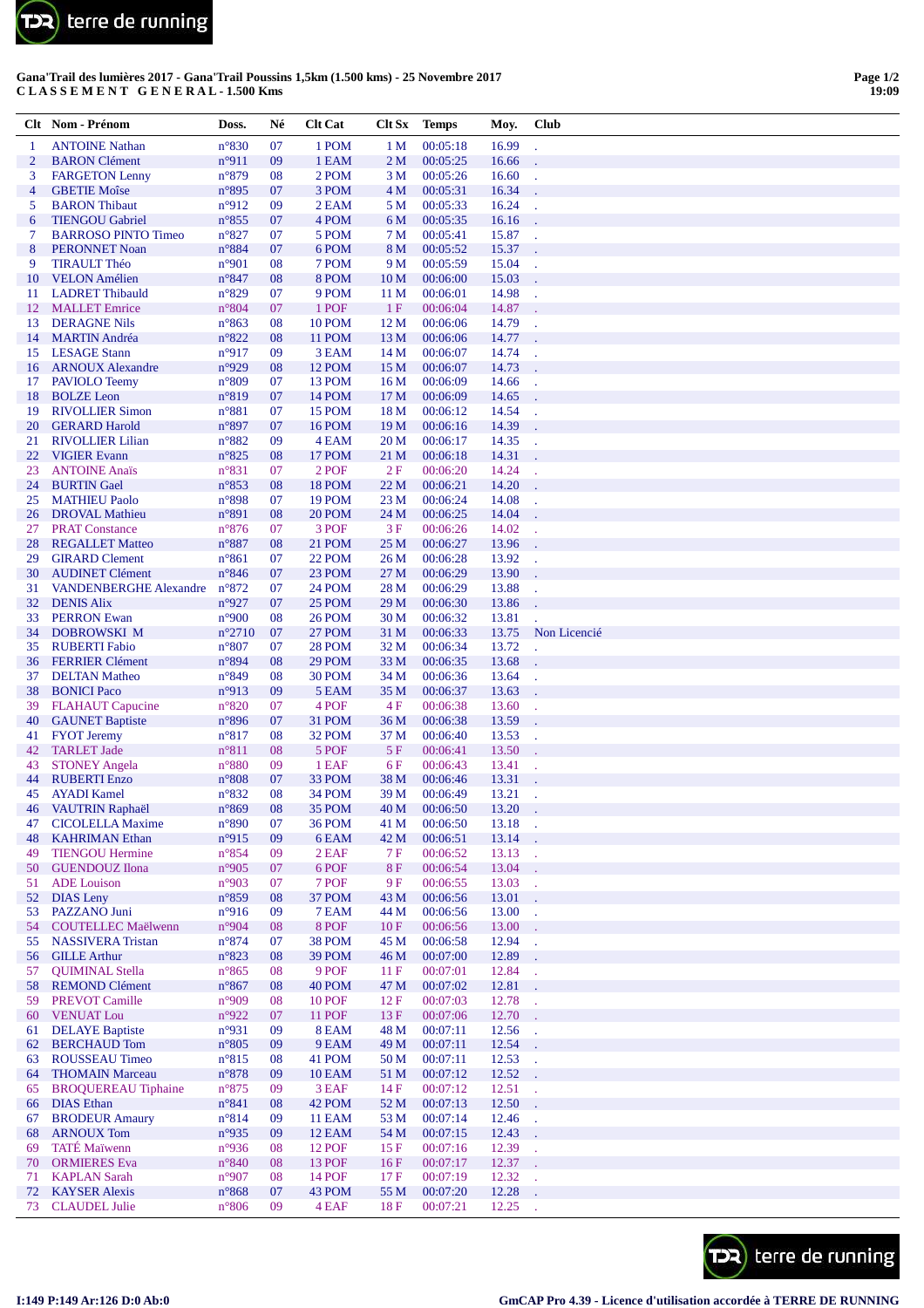

## Gana'Trail des lumières 2017 - Gana'Trail Poussins 1,5km (1.500 kms) - 25 Novembre 2017 CLASSEMENT GENERAL-1.500 Kms

| Clt            | Nom - Prénom                                            | Doss.                            | Né       | <b>Clt Cat</b>                 | Clt Sx                | <b>Temps</b>         | Moy.           | <b>Club</b>    |
|----------------|---------------------------------------------------------|----------------------------------|----------|--------------------------------|-----------------------|----------------------|----------------|----------------|
| -1             | <b>ANTOINE Nathan</b>                                   | $n^{\circ}830$                   | 07       | 1 POM                          | 1 <sub>M</sub>        | 00:05:18             | 16.99          |                |
| $\overline{c}$ | <b>BARON</b> Clément                                    | n°911                            | 09       | 1 EAM                          | 2 <sub>M</sub>        | 00:05:25             | 16.66          |                |
| 3              | <b>FARGETON Lenny</b>                                   | n°879                            | 08       | 2 POM                          | 3 M                   | 00:05:26             | 16.60          |                |
| 4              | <b>GBETIE Moîse</b>                                     | n°895                            | 07       | 3 POM                          | 4 <sub>M</sub>        | 00:05:31             | 16.34          |                |
| 5              | <b>BARON</b> Thibaut                                    | n°912                            | 09       | 2 EAM                          | 5 M                   | 00:05:33             | 16.24          |                |
| 6<br>7         | <b>TIENGOU Gabriel</b><br><b>BARROSO PINTO Timeo</b>    | $n^{\circ}855$<br>$n^{\circ}827$ | 07<br>07 | 4 POM<br>5 POM                 | 6 M<br>7 <sub>M</sub> | 00:05:35<br>00:05:41 | 16.16<br>15.87 |                |
| 8              | <b>PERONNET Noan</b>                                    | n°884                            | 07       | 6 POM                          | 8 M                   | 00:05:52             | 15.37          |                |
| 9              | <b>TIRAULT Théo</b>                                     | n°901                            | 08       | 7 POM                          | 9 M                   | 00:05:59             | 15.04          | i.             |
| 10             | <b>VELON</b> Amélien                                    | n°847                            | 08       | 8 POM                          | 10 <sub>M</sub>       | 00:06:00             | 15.03          |                |
| 11             | <b>LADRET Thibauld</b>                                  | n°829                            | 07       | 9 POM                          | 11 M                  | 00:06:01             | 14.98          |                |
| 12             | <b>MALLET</b> Emrice                                    | n°804                            | 07       | 1 POF                          | 1F                    | 00:06:04             | 14.87          |                |
| 13             | <b>DERAGNE Nils</b>                                     | $n^{\circ}863$                   | 08       | <b>10 POM</b>                  | 12 <sub>M</sub>       | 00:06:06             | 14.79          |                |
| 14             | <b>MARTIN</b> Andréa                                    | $n^{\circ}822$                   | 08       | <b>11 POM</b>                  | 13 M                  | 00:06:06             | 14.77          |                |
| 15             | <b>LESAGE Stann</b>                                     | n°917                            | 09       | 3 EAM                          | 14 M                  | 00:06:07             | 14.74          |                |
| 16             | <b>ARNOUX Alexandre</b>                                 | n°929                            | 08       | <b>12 POM</b>                  | 15 M                  | 00:06:07             | 14.73          |                |
| 17             | PAVIOLO Teemy                                           | $n^{\circ}809$                   | 07       | <b>13 POM</b>                  | 16 <sub>M</sub>       | 00:06:09             | 14.66          |                |
| 18<br>19       | <b>BOLZE</b> Leon<br><b>RIVOLLIER Simon</b>             | n°819<br>$n^{\circ}881$          | 07<br>07 | 14 POM<br>15 POM               | 17 M<br>18 M          | 00:06:09             | 14.65<br>14.54 |                |
| 20             | <b>GERARD Harold</b>                                    | $n^{\circ}897$                   | 07       | <b>16 POM</b>                  | 19 <sub>M</sub>       | 00:06:12<br>00:06:16 | 14.39          |                |
| 21             | <b>RIVOLLIER Lilian</b>                                 | n°882                            | 09       | 4 EAM                          | 20 <sub>M</sub>       | 00:06:17             | 14.35          | ÷.             |
| 22             | <b>VIGIER Evann</b>                                     | n°825                            | 08       | <b>17 POM</b>                  | 21 M                  | 00:06:18             | 14.31          |                |
| 23             | <b>ANTOINE Anaïs</b>                                    | n°831                            | 07       | 2 POF                          | 2F                    | 00:06:20             | 14.24          |                |
| 24             | <b>BURTIN</b> Gael                                      | n°853                            | 08       | <b>18 POM</b>                  | 22 M                  | 00:06:21             | 14.20          |                |
| 25             | <b>MATHIEU Paolo</b>                                    | n°898                            | 07       | <b>19 POM</b>                  | 23 M                  | 00:06:24             | 14.08          |                |
| 26             | <b>DROVAL Mathieu</b>                                   | n°891                            | 08       | 20 POM                         | 24 M                  | 00:06:25             | 14.04          |                |
| 27             | <b>PRAT Constance</b>                                   | $n^{\circ}876$                   | 07       | 3 POF                          | 3F                    | 00:06:26             | 14.02          |                |
| 28             | <b>REGALLET Matteo</b>                                  | n°887                            | 08       | 21 POM                         | 25 M                  | 00:06:27             | 13.96          |                |
| 29             | <b>GIRARD Clement</b>                                   | $n^{\circ}861$                   | 07       | 22 POM                         | 26 <sub>M</sub>       | 00:06:28             | 13.92          |                |
| 30<br>31       | <b>AUDINET Clément</b><br><b>VANDENBERGHE Alexandre</b> | $n^{\circ}846$<br>$n^{\circ}872$ | 07       | 23 POM<br>24 POM               | 27 M<br>28 M          | 00:06:29             | 13.90<br>13.88 |                |
| 32             | <b>DENIS Alix</b>                                       | n°927                            | 07<br>07 | 25 POM                         | 29 M                  | 00:06:29<br>00:06:30 | 13.86          |                |
| 33             | <b>PERRON Ewan</b>                                      | n°900                            | 08       | <b>26 POM</b>                  | 30 M                  | 00:06:32             | 13.81          |                |
| 34             | DOBROWSKI M                                             | $n^{\circ}2710$                  | 07       | 27 POM                         | 31 M                  | 00:06:33             | 13.75          | Non Licencié   |
| 35             | <b>RUBERTI Fabio</b>                                    | n°807                            | 07       | <b>28 POM</b>                  | 32 M                  | 00:06:34             | 13.72          |                |
| 36             | <b>FERRIER Clément</b>                                  | n°894                            | 08       | 29 POM                         | 33 M                  | 00:06:35             | 13.68          |                |
| 37             | <b>DELTAN Matheo</b>                                    | n°849                            | 08       | 30 POM                         | 34 M                  | 00:06:36             | 13.64          |                |
| 38             | <b>BONICI</b> Paco                                      | n°913                            | 09       | 5 EAM                          | 35 M                  | 00:06:37             | 13.63          |                |
| 39             | <b>FLAHAUT</b> Capucine                                 | $n^{\circ}820$                   | 07       | 4 POF                          | 4F                    | 00:06:38             | 13.60          |                |
| 40             | <b>GAUNET Baptiste</b>                                  | n°896                            | 07       | 31 POM                         | 36 M                  | 00:06:38             | 13.59          |                |
| 41             | <b>FYOT</b> Jeremy                                      | $n^{\circ}817$                   | 08       | 32 POM                         | 37 M                  | 00:06:40             | 13.53          |                |
| 42             | <b>TARLET Jade</b>                                      | $n^{\circ}811$<br>n°880          | 08       | 5 POF                          | 5F<br>6F              | 00:06:41             | 13.50          |                |
| 43<br>44       | <b>STONEY Angela</b><br><b>RUBERTI Enzo</b>             | n°808                            | 09<br>07 | 1 EAF<br>33 POM                | 38 M                  | 00:06:43<br>00:06:46 | 13.41<br>13.31 |                |
| 45             | <b>AYADI</b> Kamel                                      | $n^{\circ}832$                   | 08       | 34 POM                         | 39 M                  | 00:06:49             | 13.21          |                |
| 46             | VAUTRIN Raphaël                                         | $n^{\circ}869$                   | 08       | 35 POM                         | 40 M                  | 00:06:50             | 13.20          |                |
| 47             | <b>CICOLELLA Maxime</b>                                 | $n^{\circ}890$                   | 07       | <b>36 POM</b>                  | 41 M                  | 00:06:50             | 13.18          |                |
| 48             | <b>KAHRIMAN</b> Ethan                                   | n°915                            | 09       | 6 EAM                          | 42 M                  | 00:06:51             | 13.14          |                |
| 49             | <b>TIENGOU Hermine</b>                                  | $n^{\circ}854$                   | 09       | 2 EAF                          | 7F                    | 00:06:52             | 13.13          | $\mathbb{Z}^2$ |
| 50             | <b>GUENDOUZ</b> Ilona                                   | $n^{\circ}905$                   | 07       | 6 POF                          | <b>8F</b>             | 00:06:54             | 13.04          |                |
| 51             | <b>ADE</b> Louison                                      | n°903                            | 07       | 7 POF                          | 9 F                   | 00:06:55             | 13.03          | l.             |
| 52             | <b>DIAS</b> Leny                                        | n°859                            | 08       | 37 POM                         | 43 M                  | 00:06:56             | 13.01          |                |
| 53             | PAZZANO Juni                                            | $n^{\circ}916$                   | 09       | 7 EAM                          | 44 M                  | 00:06:56             | 13.00          | l.             |
| 54<br>55       | <b>COUTELLEC Maëlwenn</b><br><b>NASSIVERA Tristan</b>   | n°904<br>n°874                   | 08<br>07 | 8 POF<br>38 POM                | 10F<br>45 M           | 00:06:56<br>00:06:58 | 13.00<br>12.94 |                |
| 56             | <b>GILLE Arthur</b>                                     | $n^{\circ}823$                   | 08       | 39 POM                         | 46 M                  | 00:07:00             | 12.89          | ä,             |
| 57             | <b>OUIMINAL Stella</b>                                  | $n^{\circ}865$                   | 08       | 9 POF                          | 11F                   | 00:07:01             | 12.84          |                |
| 58             | <b>REMOND Clément</b>                                   | $n^{\circ}867$                   | 08       | 40 POM                         | 47 M                  | 00:07:02             | 12.81          |                |
| 59             | PREVOT Camille                                          | n°909                            | 08       | <b>10 POF</b>                  | 12F                   | 00:07:03             | 12.78          | G.             |
| 60             | <b>VENUAT Lou</b>                                       | n°922                            | 07       | <b>11 POF</b>                  | 13F                   | 00:07:06             | 12.70          |                |
| 61             | <b>DELAYE</b> Baptiste                                  | n°931                            | 09       | 8 EAM                          | 48 M                  | 00:07:11             | 12.56          | ä,             |
| 62             | <b>BERCHAUD Tom</b>                                     | $n^{\circ}805$                   | 09       | 9 EAM                          | 49 M                  | 00:07:11             | 12.54          |                |
| 63             | <b>ROUSSEAU Timeo</b>                                   | $n^{\circ}815$                   | 08       | 41 POM                         | 50 M                  | 00:07:11             | 12.53          | ä,             |
| 64             | <b>THOMAIN Marceau</b>                                  | $n^{\circ}878$                   | 09       | <b>10 EAM</b>                  | 51 M                  | 00:07:12             | 12.52          |                |
| 65             | <b>BROQUEREAU Tiphaine</b>                              | $n^{\circ}875$                   | 09       | 3 EAF                          | 14F                   | 00:07:12             | 12.51          | ä,             |
| 66             | <b>DIAS</b> Ethan                                       | n°841                            | 08       | 42 POM                         | 52 M                  | 00:07:13             | 12.50          |                |
| 67<br>68       | <b>BRODEUR Amaury</b><br><b>ARNOUX Tom</b>              | $n^{\circ}814$<br>n°935          | 09<br>09 | <b>11 EAM</b><br><b>12 EAM</b> | 53 M<br>54 M          | 00:07:14<br>00:07:15 | 12.46<br>12.43 | i.<br>t.       |
| 69             | <b>TATÉ</b> Maïwenn                                     | n°936                            | 08       | <b>12 POF</b>                  | 15 F                  | 00:07:16             | 12.39          | У.             |
| 70             | <b>ORMIERES</b> Eva                                     | $n^{\circ}840$                   | 08       | <b>13 POF</b>                  | 16F                   | 00:07:17             | 12.37          |                |
| 71             | <b>KAPLAN Sarah</b>                                     | n°907                            | 08       | <b>14 POF</b>                  | 17F                   | 00:07:19             | 12.32          |                |
| 72             | <b>KAYSER Alexis</b>                                    | $n^{\circ}868$                   | 07       | 43 POM                         | 55 M                  | 00:07:20             | 12.28          |                |
| 73.            | <b>CLAUDEL</b> Inlie                                    | $n^{\circ}806$                   | 09       | $4$ EAF                        | 18F                   | 00.07.21             | 12.25          |                |